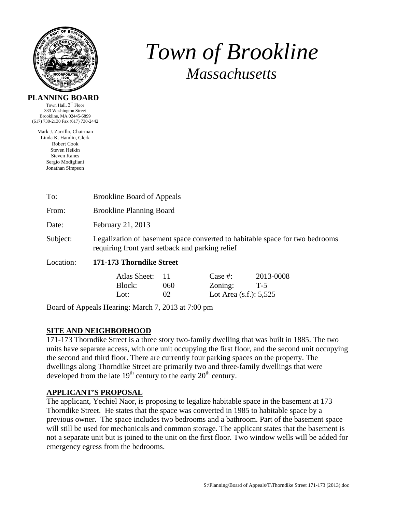

# *Town of Brookline Massachusetts*

#### **PLANNING BOARD**

Town Hall,  $3^{\text{rd}}$  Floor 333 Washington Street Brookline, MA 02445-6899 (617) 730-2130 Fax (617) 730-2442

Mark J. Zarrillo, Chairman Linda K. Hamlin, Clerk Robert Cook Steven Heikin Steven Kanes Sergio Modigliani Jonathan Simpson

| To:          | <b>Brookline Board of Appeals</b>                                                                                               |                  |                                                    |                    |  |  |  |
|--------------|---------------------------------------------------------------------------------------------------------------------------------|------------------|----------------------------------------------------|--------------------|--|--|--|
| From:        | <b>Brookline Planning Board</b>                                                                                                 |                  |                                                    |                    |  |  |  |
| Date:        | February 21, 2013                                                                                                               |                  |                                                    |                    |  |  |  |
| Subject:     | Legalization of basement space converted to habitable space for two bedrooms<br>requiring front yard setback and parking relief |                  |                                                    |                    |  |  |  |
| Location:    | 171-173 Thorndike Street                                                                                                        |                  |                                                    |                    |  |  |  |
|              | Atlas Sheet:<br>Block:<br>Lot:                                                                                                  | -11<br>060<br>02 | Case $#$ :<br>Zoning:<br>Lot Area $(s.f.)$ : 5,525 | 2013-0008<br>$T-5$ |  |  |  |
| $\mathbf{r}$ |                                                                                                                                 |                  |                                                    |                    |  |  |  |

Board of Appeals Hearing: March 7, 2013 at 7:00 pm

# **SITE AND NEIGHBORHOOD**

171-173 Thorndike Street is a three story two-family dwelling that was built in 1885. The two units have separate access, with one unit occupying the first floor, and the second unit occupying the second and third floor. There are currently four parking spaces on the property. The dwellings along Thorndike Street are primarily two and three-family dwellings that were developed from the late  $19<sup>th</sup>$  century to the early  $20<sup>th</sup>$  century.

## **APPLICANT'S PROPOSAL**

The applicant, Yechiel Naor, is proposing to legalize habitable space in the basement at 173 Thorndike Street. He states that the space was converted in 1985 to habitable space by a previous owner. The space includes two bedrooms and a bathroom. Part of the basement space will still be used for mechanicals and common storage. The applicant states that the basement is not a separate unit but is joined to the unit on the first floor. Two window wells will be added for emergency egress from the bedrooms.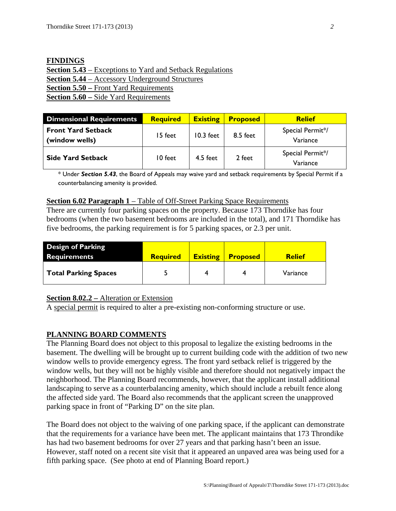| <b>FINDINGS</b>                                                  |
|------------------------------------------------------------------|
| <b>Section 5.43</b> – Exceptions to Yard and Setback Regulations |
| <b>Section 5.44</b> – Accessory Underground Structures           |
| <b>Section 5.50 – Front Yard Requirements</b>                    |
| <b>Section 5.60 – Side Yard Requirements</b>                     |

| <b>Dimensional Requirements</b>             | <b>Required</b> | <b>Existing</b> | <b>Proposed</b> | <b>Relief</b>                |
|---------------------------------------------|-----------------|-----------------|-----------------|------------------------------|
| <b>Front Yard Setback</b><br>(window wells) | 15 feet         | $10.3$ feet     | 8.5 feet        | Special Permit*/<br>Variance |
| <b>Side Yard Setback</b>                    | 10 feet         | $4.5$ feet      | 2 feet          | Special Permit*/<br>Variance |

\* Under *Section 5.43*, the Board of Appeals may waive yard and setback requirements by Special Permit if a counterbalancing amenity is provided.

#### **<u>Section 6.02 Paragraph 1</u>** – Table of Off-Street Parking Space Requirements

There are currently four parking spaces on the property. Because 173 Thorndike has four bedrooms (when the two basement bedrooms are included in the total), and 171 Thorndike has five bedrooms, the parking requirement is for 5 parking spaces, or 2.3 per unit.

| <b>Design of Parking</b><br><b>Requirements</b> | <b>Required</b> | <b>Existing</b> | <b>Proposed</b> | <b>Relief</b> |
|-------------------------------------------------|-----------------|-----------------|-----------------|---------------|
| <b>Total Parking Spaces</b>                     |                 |                 |                 | Variance      |

## **Section 8.02.2 –** Alteration or Extension

A special permit is required to alter a pre-existing non-conforming structure or use.

## **PLANNING BOARD COMMENTS**

The Planning Board does not object to this proposal to legalize the existing bedrooms in the basement. The dwelling will be brought up to current building code with the addition of two new window wells to provide emergency egress. The front yard setback relief is triggered by the window wells, but they will not be highly visible and therefore should not negatively impact the neighborhood. The Planning Board recommends, however, that the applicant install additional landscaping to serve as a counterbalancing amenity, which should include a rebuilt fence along the affected side yard. The Board also recommends that the applicant screen the unapproved parking space in front of "Parking D" on the site plan.

The Board does not object to the waiving of one parking space, if the applicant can demonstrate that the requirements for a variance have been met. The applicant maintains that 173 Throndike has had two basement bedrooms for over 27 years and that parking hasn't been an issue. However, staff noted on a recent site visit that it appeared an unpaved area was being used for a fifth parking space. (See photo at end of Planning Board report.)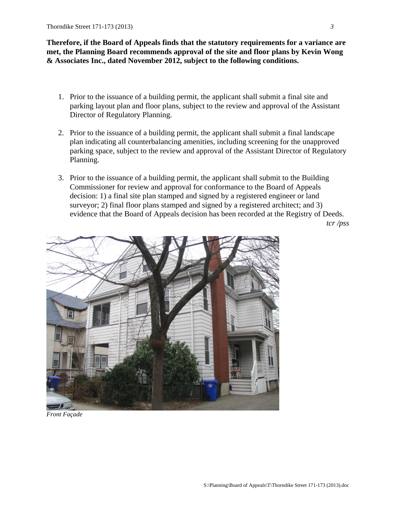**Therefore, if the Board of Appeals finds that the statutory requirements for a variance are met, the Planning Board recommends approval of the site and floor plans by Kevin Wong & Associates Inc., dated November 2012, subject to the following conditions.** 

- 1. Prior to the issuance of a building permit, the applicant shall submit a final site and parking layout plan and floor plans, subject to the review and approval of the Assistant Director of Regulatory Planning.
- 2. Prior to the issuance of a building permit, the applicant shall submit a final landscape plan indicating all counterbalancing amenities, including screening for the unapproved parking space, subject to the review and approval of the Assistant Director of Regulatory Planning.
- 3. Prior to the issuance of a building permit, the applicant shall submit to the Building Commissioner for review and approval for conformance to the Board of Appeals decision: 1) a final site plan stamped and signed by a registered engineer or land surveyor; 2) final floor plans stamped and signed by a registered architect; and 3) evidence that the Board of Appeals decision has been recorded at the Registry of Deeds.

*tcr /pss* 



*Front Façade*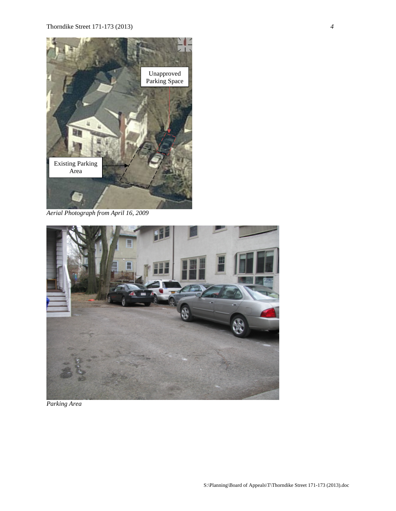

*Aerial Photograph from April 16, 2009* 



*Parking Area*